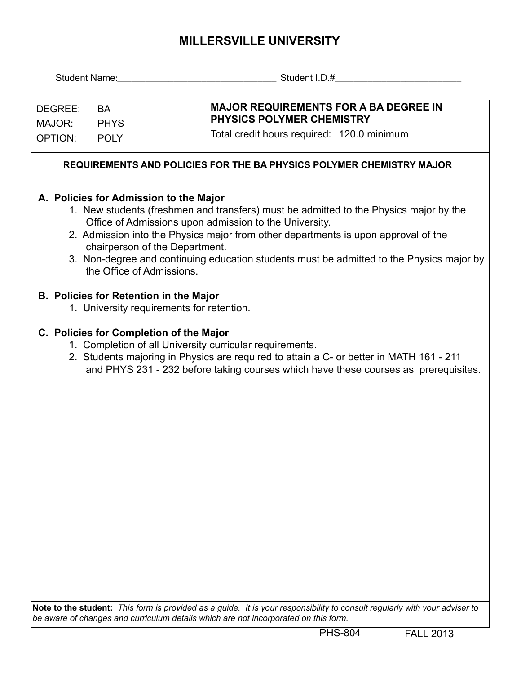## **MILLERSVILLE UNIVERSITY**

|                                                                                                                                                                                                                                                                                                                                                                                                                                            |  | Student Name: Name: Name Student I.D.# Student I.D. Name Student I.D. Name Student I.D. Name Student I.D. Name Student I.D. Name Student I.D. Name Student I.D. Name Student I.D. Name Student I.D. Name Student I.D. Name Stu                                                        |  |  |  |  |  |  |
|--------------------------------------------------------------------------------------------------------------------------------------------------------------------------------------------------------------------------------------------------------------------------------------------------------------------------------------------------------------------------------------------------------------------------------------------|--|---------------------------------------------------------------------------------------------------------------------------------------------------------------------------------------------------------------------------------------------------------------------------------------|--|--|--|--|--|--|
| DEGREE:<br><b>BA</b><br>MAJOR:<br><b>PHYS</b><br><b>OPTION:</b><br><b>POLY</b>                                                                                                                                                                                                                                                                                                                                                             |  | <b>MAJOR REQUIREMENTS FOR A BA DEGREE IN</b><br>PHYSICS POLYMER CHEMISTRY                                                                                                                                                                                                             |  |  |  |  |  |  |
|                                                                                                                                                                                                                                                                                                                                                                                                                                            |  | Total credit hours required: 120.0 minimum                                                                                                                                                                                                                                            |  |  |  |  |  |  |
| REQUIREMENTS AND POLICIES FOR THE BA PHYSICS POLYMER CHEMISTRY MAJOR                                                                                                                                                                                                                                                                                                                                                                       |  |                                                                                                                                                                                                                                                                                       |  |  |  |  |  |  |
| A. Policies for Admission to the Major<br>1. New students (freshmen and transfers) must be admitted to the Physics major by the<br>Office of Admissions upon admission to the University.<br>2. Admission into the Physics major from other departments is upon approval of the<br>chairperson of the Department.<br>3. Non-degree and continuing education students must be admitted to the Physics major by<br>the Office of Admissions. |  |                                                                                                                                                                                                                                                                                       |  |  |  |  |  |  |
| <b>B. Policies for Retention in the Major</b><br>1. University requirements for retention.                                                                                                                                                                                                                                                                                                                                                 |  |                                                                                                                                                                                                                                                                                       |  |  |  |  |  |  |
|                                                                                                                                                                                                                                                                                                                                                                                                                                            |  | C. Policies for Completion of the Major<br>1. Completion of all University curricular requirements.<br>2. Students majoring in Physics are required to attain a C- or better in MATH 161 - 211<br>and PHYS 231 - 232 before taking courses which have these courses as prerequisites. |  |  |  |  |  |  |
|                                                                                                                                                                                                                                                                                                                                                                                                                                            |  | Note to the student: This form is provided as a guide. It is your responsibility to consult regularly with your adviser to                                                                                                                                                            |  |  |  |  |  |  |

*be aware of changes and curriculum details which are not incorporated on this form.*